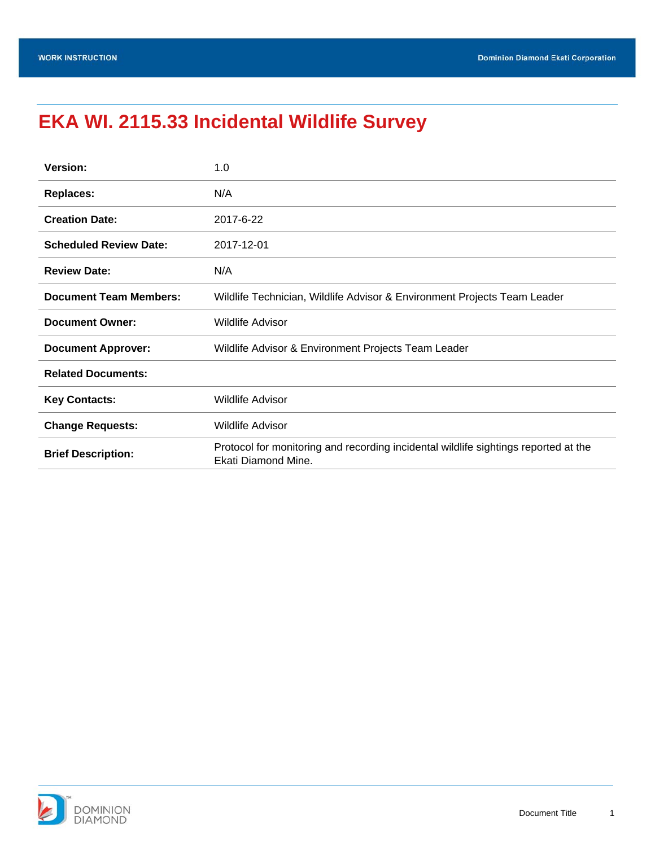# **EKA WI. 2115.33 Incidental Wildlife Survey**

| <b>Version:</b>               | 1.0                                                                                                        |  |  |
|-------------------------------|------------------------------------------------------------------------------------------------------------|--|--|
| <b>Replaces:</b>              | N/A                                                                                                        |  |  |
| <b>Creation Date:</b>         | 2017-6-22                                                                                                  |  |  |
| <b>Scheduled Review Date:</b> | 2017-12-01                                                                                                 |  |  |
| <b>Review Date:</b>           | N/A                                                                                                        |  |  |
| <b>Document Team Members:</b> | Wildlife Technician, Wildlife Advisor & Environment Projects Team Leader                                   |  |  |
| <b>Document Owner:</b>        | <b>Wildlife Advisor</b>                                                                                    |  |  |
| <b>Document Approver:</b>     | Wildlife Advisor & Environment Projects Team Leader                                                        |  |  |
| <b>Related Documents:</b>     |                                                                                                            |  |  |
| <b>Key Contacts:</b>          | <b>Wildlife Advisor</b>                                                                                    |  |  |
| <b>Change Requests:</b>       | <b>Wildlife Advisor</b>                                                                                    |  |  |
| <b>Brief Description:</b>     | Protocol for monitoring and recording incidental wildlife sightings reported at the<br>Ekati Diamond Mine. |  |  |

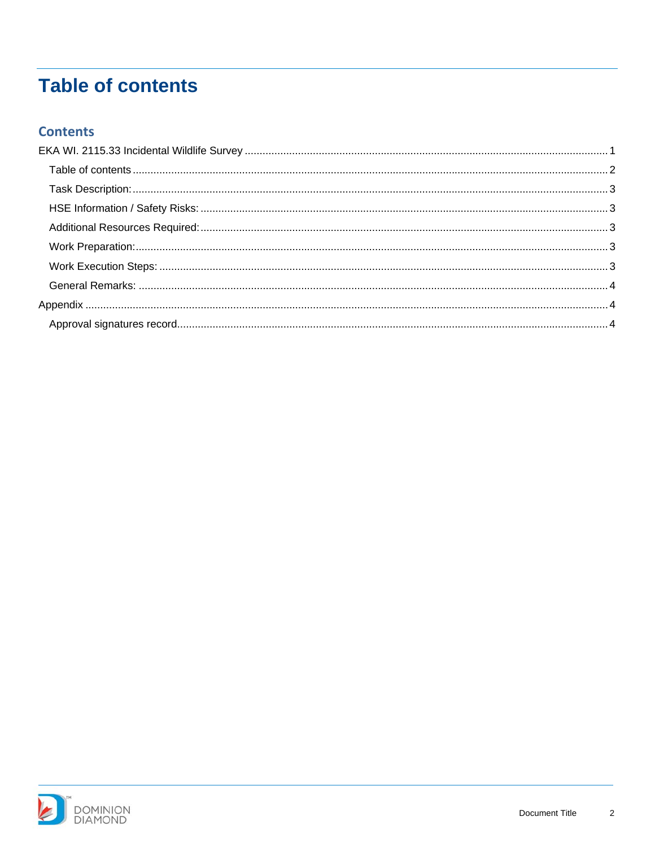# **Table of contents**

#### **Contents**

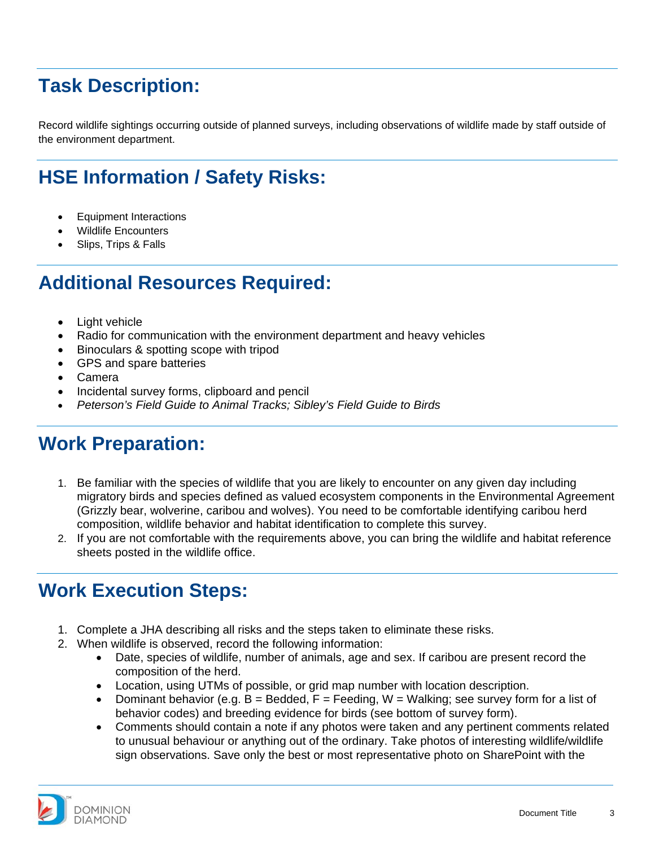## **Task Description:**

Record wildlife sightings occurring outside of planned surveys, including observations of wildlife made by staff outside of the environment department.

## **HSE Information / Safety Risks:**

- Equipment Interactions
- Wildlife Encounters
- Slips, Trips & Falls

### **Additional Resources Required:**

- Light vehicle
- Radio for communication with the environment department and heavy vehicles
- Binoculars & spotting scope with tripod
- GPS and spare batteries
- Camera
- Incidental survey forms, clipboard and pencil
- *Peterson's Field Guide to Animal Tracks; Sibley's Field Guide to Birds*

### **Work Preparation:**

- 1. Be familiar with the species of wildlife that you are likely to encounter on any given day including migratory birds and species defined as valued ecosystem components in the Environmental Agreement (Grizzly bear, wolverine, caribou and wolves). You need to be comfortable identifying caribou herd composition, wildlife behavior and habitat identification to complete this survey.
- 2. If you are not comfortable with the requirements above, you can bring the wildlife and habitat reference sheets posted in the wildlife office.

### **Work Execution Steps:**

- 1. Complete a JHA describing all risks and the steps taken to eliminate these risks.
- 2. When wildlife is observed, record the following information:
	- Date, species of wildlife, number of animals, age and sex. If caribou are present record the composition of the herd.
	- Location, using UTMs of possible, or grid map number with location description.
	- Dominant behavior (e.g.  $B =$  Bedded,  $F =$  Feeding, W = Walking; see survey form for a list of behavior codes) and breeding evidence for birds (see bottom of survey form).
	- Comments should contain a note if any photos were taken and any pertinent comments related to unusual behaviour or anything out of the ordinary. Take photos of interesting wildlife/wildlife sign observations. Save only the best or most representative photo on SharePoint with the